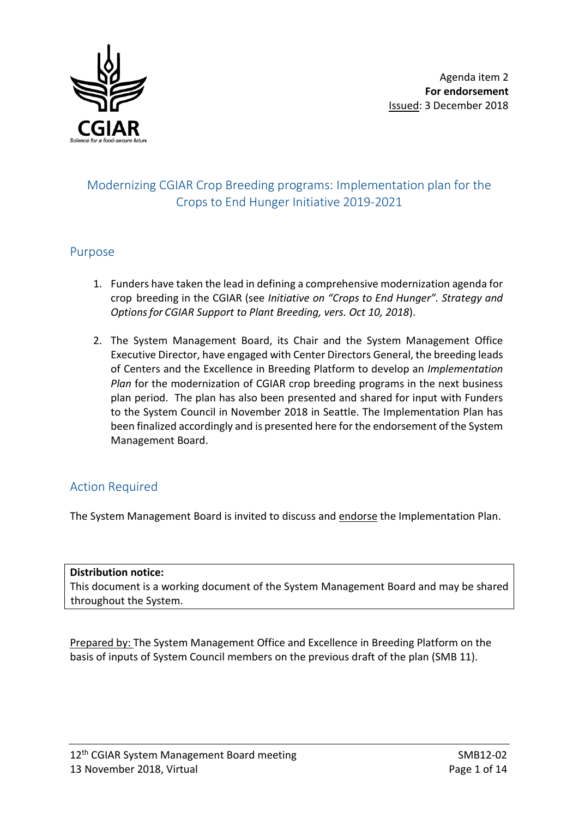

# Modernizing CGIAR Crop Breeding programs: Implementation plan for the Crops to End Hunger Initiative 2019-2021

#### Purpose

- 1. Funders have taken the lead in defining a comprehensive modernization agenda for crop breeding in the CGIAR (see *Initiative on "Crops to End Hunger". Strategy and Optionsfor CGIAR Support to Plant Breeding, vers. Oct 10, 2018*).
- 2. The System Management Board, its Chair and the System Management Office Executive Director, have engaged with Center Directors General, the breeding leads of Centers and the Excellence in Breeding Platform to develop an *Implementation Plan* for the modernization of CGIAR crop breeding programs in the next business plan period. The plan has also been presented and shared for input with Funders to the System Council in November 2018 in Seattle. The Implementation Plan has been finalized accordingly and is presented here for the endorsement of the System Management Board.

### Action Required

The System Management Board is invited to discuss and endorse the Implementation Plan.

#### **Distribution notice:**

This document is a working document of the System Management Board and may be shared throughout the System.

Prepared by: The System Management Office and Excellence in Breeding Platform on the basis of inputs of System Council members on the previous draft of the plan (SMB 11).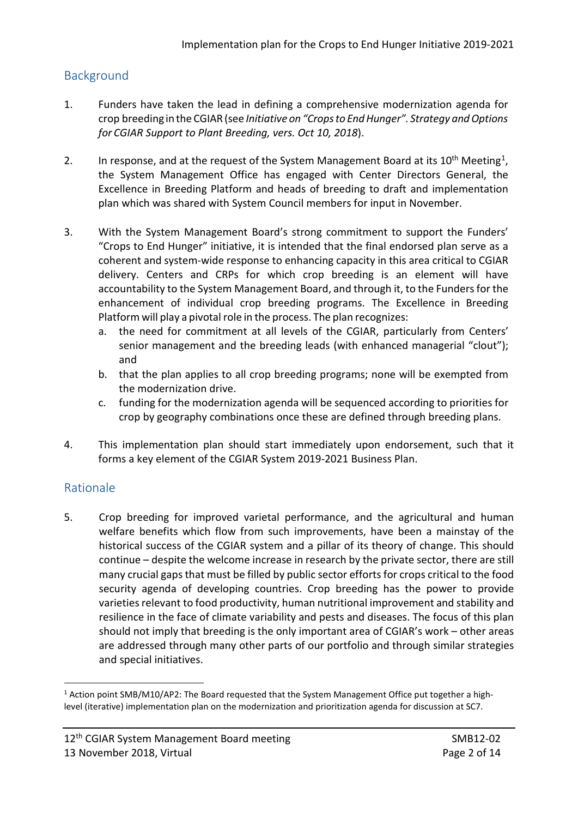### **Background**

- 1. Funders have taken the lead in defining a comprehensive modernization agenda for crop breeding in the CGIAR (see *Initiative on "Cropsto EndHunger". Strategy andOptions for CGIAR Support to Plant Breeding, vers. Oct 10, 2018*).
- 2. In response, and at the request of the System Management Board at its  $10^{th}$  Meeting<sup>1</sup>, the System Management Office has engaged with Center Directors General, the Excellence in Breeding Platform and heads of breeding to draft and implementation plan which was shared with System Council members for input in November.
- 3. With the System Management Board's strong commitment to support the Funders' "Crops to End Hunger" initiative, it is intended that the final endorsed plan serve as a coherent and system-wide response to enhancing capacity in this area critical to CGIAR delivery. Centers and CRPs for which crop breeding is an element will have accountability to the System Management Board, and through it, to the Funders for the enhancement of individual crop breeding programs. The Excellence in Breeding Platform will play a pivotal role in the process. The plan recognizes:
	- a. the need for commitment at all levels of the CGIAR, particularly from Centers' senior management and the breeding leads (with enhanced managerial "clout"); and
	- b. that the plan applies to all crop breeding programs; none will be exempted from the modernization drive.
	- c. funding for the modernization agenda will be sequenced according to priorities for crop by geography combinations once these are defined through breeding plans.
- 4. This implementation plan should start immediately upon endorsement, such that it forms a key element of the CGIAR System 2019-2021 Business Plan.

### Rationale

5. Crop breeding for improved varietal performance, and the agricultural and human welfare benefits which flow from such improvements, have been a mainstay of the historical success of the CGIAR system and a pillar of its theory of change. This should continue – despite the welcome increase in research by the private sector, there are still many crucial gaps that must be filled by public sector efforts for crops critical to the food security agenda of developing countries. Crop breeding has the power to provide varieties relevant to food productivity, human nutritional improvement and stability and resilience in the face of climate variability and pests and diseases. The focus of this plan should not imply that breeding is the only important area of CGIAR's work – other areas are addressed through many other parts of our portfolio and through similar strategies and special initiatives.

<span id="page-1-0"></span><sup>-</sup><sup>1</sup> Action point SMB/M10/AP2: The Board requested that the System Management Office put together a highlevel (iterative) implementation plan on the modernization and prioritization agenda for discussion at SC7.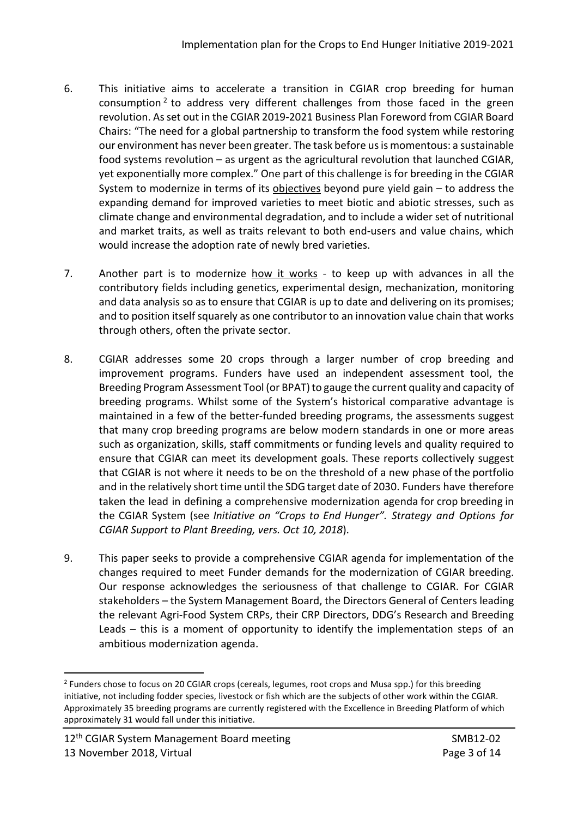- 6. This initiative aims to accelerate a transition in CGIAR crop breeding for human consumption  $2$  to address very different challenges from those faced in the green revolution. Asset out in the CGIAR 2019-2021 Business Plan Foreword from CGIAR Board Chairs: "The need for a global partnership to transform the food system while restoring our environment has never been greater. The task before usis momentous: a sustainable food systems revolution – as urgent as the agricultural revolution that launched CGIAR, yet exponentially more complex." One part of this challenge is for breeding in the CGIAR System to modernize in terms of its objectives beyond pure yield gain – to address the expanding demand for improved varieties to meet biotic and abiotic stresses, such as climate change and environmental degradation, and to include a wider set of nutritional and market traits, as well as traits relevant to both end-users and value chains, which would increase the adoption rate of newly bred varieties.
- 7. Another part is to modernize how it works to keep up with advances in all the contributory fields including genetics, experimental design, mechanization, monitoring and data analysis so as to ensure that CGIAR is up to date and delivering on its promises; and to position itself squarely as one contributor to an innovation value chain that works through others, often the private sector.
- 8. CGIAR addresses some 20 crops through a larger number of crop breeding and improvement programs. Funders have used an independent assessment tool, the Breeding Program Assessment Tool (or BPAT) to gauge the current quality and capacity of breeding programs. Whilst some of the System's historical comparative advantage is maintained in a few of the better-funded breeding programs, the assessments suggest that many crop breeding programs are below modern standards in one or more areas such as organization, skills, staff commitments or funding levels and quality required to ensure that CGIAR can meet its development goals. These reports collectively suggest that CGIAR is not where it needs to be on the threshold of a new phase of the portfolio and in the relatively short time until the SDG target date of 2030. Funders have therefore taken the lead in defining a comprehensive modernization agenda for crop breeding in the CGIAR System (see *Initiative on "Crops to End Hunger". Strategy and Options for CGIAR Support to Plant Breeding, vers. Oct 10, 2018*).
- 9. This paper seeks to provide a comprehensive CGIAR agenda for implementation of the changes required to meet Funder demands for the modernization of CGIAR breeding. Our response acknowledges the seriousness of that challenge to CGIAR. For CGIAR stakeholders – the System Management Board, the Directors General of Centers leading the relevant Agri-Food System CRPs, their CRP Directors, DDG's Research and Breeding Leads – this is a moment of opportunity to identify the implementation steps of an ambitious modernization agenda.

<span id="page-2-0"></span><sup>&</sup>lt;u>.</u> <sup>2</sup> Funders chose to focus on 20 CGIAR crops (cereals, legumes, root crops and Musa spp.) for this breeding initiative, not including fodder species, livestock or fish which are the subjects of other work within the CGIAR. Approximately 35 breeding programs are currently registered with the Excellence in Breeding Platform of which approximately 31 would fall under this initiative.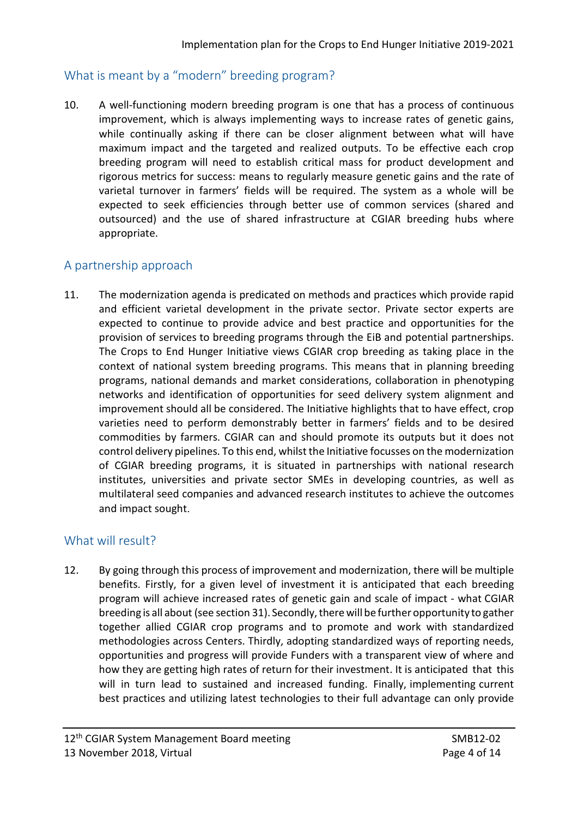### What is meant by a "modern" breeding program?

10. A well-functioning modern breeding program is one that has a process of continuous improvement, which is always implementing ways to increase rates of genetic gains, while continually asking if there can be closer alignment between what will have maximum impact and the targeted and realized outputs. To be effective each crop breeding program will need to establish critical mass for product development and rigorous metrics for success: means to regularly measure genetic gains and the rate of varietal turnover in farmers' fields will be required. The system as a whole will be expected to seek efficiencies through better use of common services (shared and outsourced) and the use of shared infrastructure at CGIAR breeding hubs where appropriate.

### A partnership approach

11. The modernization agenda is predicated on methods and practices which provide rapid and efficient varietal development in the private sector. Private sector experts are expected to continue to provide advice and best practice and opportunities for the provision of services to breeding programs through the EiB and potential partnerships. The Crops to End Hunger Initiative views CGIAR crop breeding as taking place in the context of national system breeding programs. This means that in planning breeding programs, national demands and market considerations, collaboration in phenotyping networks and identification of opportunities for seed delivery system alignment and improvement should all be considered. The Initiative highlights that to have effect, crop varieties need to perform demonstrably better in farmers' fields and to be desired commodities by farmers. CGIAR can and should promote its outputs but it does not control delivery pipelines. To this end, whilst the Initiative focusses on the modernization of CGIAR breeding programs, it is situated in partnerships with national research institutes, universities and private sector SMEs in developing countries, as well as multilateral seed companies and advanced research institutes to achieve the outcomes and impact sought.

# What will result?

12. By going through this process of improvement and modernization, there will be multiple benefits. Firstly, for a given level of investment it is anticipated that each breeding program will achieve increased rates of genetic gain and scale of impact - what CGIAR breeding is all about (see section 31). Secondly,therewill be further opportunity to gather together allied CGIAR crop programs and to promote and work with standardized methodologies across Centers. Thirdly, adopting standardized ways of reporting needs, opportunities and progress will provide Funders with a transparent view of where and how they are getting high rates of return for their investment. It is anticipated that this will in turn lead to sustained and increased funding. Finally, implementing current best practices and utilizing latest technologies to their full advantage can only provide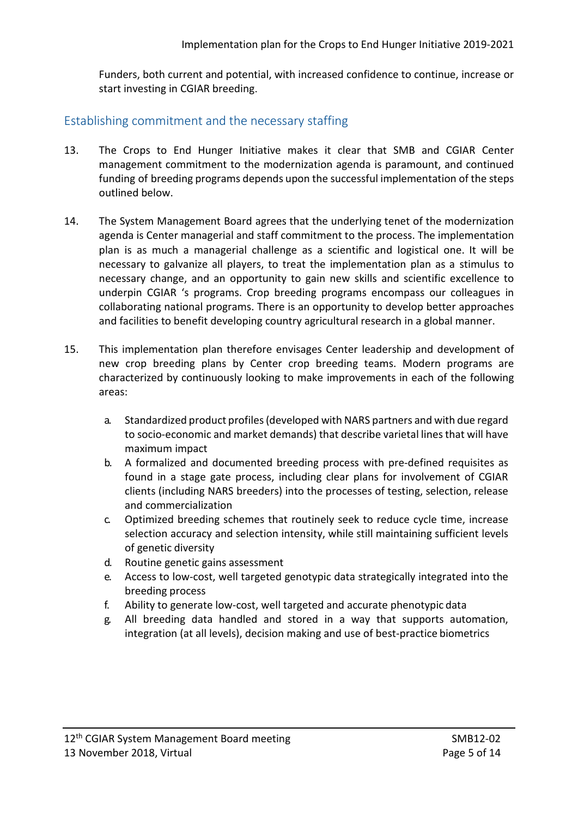Funders, both current and potential, with increased confidence to continue, increase or start investing in CGIAR breeding.

#### Establishing commitment and the necessary staffing

- 13. The Crops to End Hunger Initiative makes it clear that SMB and CGIAR Center management commitment to the modernization agenda is paramount, and continued funding of breeding programs depends upon the successful implementation of the steps outlined below.
- 14. The System Management Board agrees that the underlying tenet of the modernization agenda is Center managerial and staff commitment to the process. The implementation plan is as much a managerial challenge as a scientific and logistical one. It will be necessary to galvanize all players, to treat the implementation plan as a stimulus to necessary change, and an opportunity to gain new skills and scientific excellence to underpin CGIAR 's programs. Crop breeding programs encompass our colleagues in collaborating national programs. There is an opportunity to develop better approaches and facilities to benefit developing country agricultural research in a global manner.
- 15. This implementation plan therefore envisages Center leadership and development of new crop breeding plans by Center crop breeding teams. Modern programs are characterized by continuously looking to make improvements in each of the following areas:
	- a. Standardized product profiles(developed with NARS partners and with due regard to socio-economic and market demands) that describe varietal lines that will have maximum impact
	- b. A formalized and documented breeding process with pre-defined requisites as found in a stage gate process, including clear plans for involvement of CGIAR clients (including NARS breeders) into the processes of testing, selection, release and commercialization
	- c. Optimized breeding schemes that routinely seek to reduce cycle time, increase selection accuracy and selection intensity, while still maintaining sufficient levels of genetic diversity
	- d. Routine genetic gains assessment
	- e. Access to low-cost, well targeted genotypic data strategically integrated into the breeding process
	- f. Ability to generate low-cost, well targeted and accurate phenotypic data
	- g. All breeding data handled and stored in a way that supports automation, integration (at all levels), decision making and use of best-practice biometrics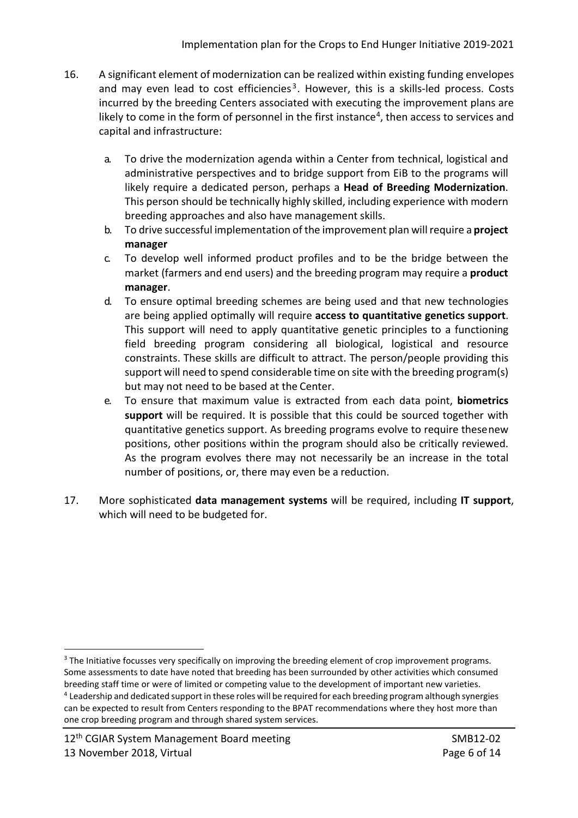- 16. A significant element of modernization can be realized within existing funding envelopes and may even lead to cost efficiencies<sup>[3](#page-5-0)</sup>. However, this is a skills-led process. Costs incurred by the breeding Centers associated with executing the improvement plans are likely to come in the form of personnel in the first instance<sup>4</sup>, then access to services and capital and infrastructure:
	- a. To drive the modernization agenda within a Center from technical, logistical and administrative perspectives and to bridge support from EiB to the programs will likely require a dedicated person, perhaps a **Head of Breeding Modernization**. This person should be technically highly skilled, including experience with modern breeding approaches and also have management skills.
	- b. To drive successful implementation of the improvement plan willrequire a **project manager**
	- c. To develop well informed product profiles and to be the bridge between the market (farmers and end users) and the breeding program may require a **product manager**.
	- d. To ensure optimal breeding schemes are being used and that new technologies are being applied optimally will require **access to quantitative genetics support**. This support will need to apply quantitative genetic principles to a functioning field breeding program considering all biological, logistical and resource constraints. These skills are difficult to attract. The person/people providing this support will need to spend considerable time on site with the breeding program(s) but may not need to be based at the Center.
	- e. To ensure that maximum value is extracted from each data point, **biometrics support** will be required. It is possible that this could be sourced together with quantitative genetics support. As breeding programs evolve to require thesenew positions, other positions within the program should also be critically reviewed. As the program evolves there may not necessarily be an increase in the total number of positions, or, there may even be a reduction.
- 17. More sophisticated **data management systems** will be required, including **IT support**, which will need to be budgeted for.

<span id="page-5-1"></span><span id="page-5-0"></span><sup>&</sup>lt;sup>3</sup> The Initiative focusses very specifically on improving the breeding element of crop improvement programs. Some assessments to date have noted that breeding has been surrounded by other activities which consumed breeding staff time or were of limited or competing value to the development of important new varieties. <sup>4</sup> Leadership and dedicated support in these roles will be required for each breeding program although synergies can be expected to result from Centers responding to the BPAT recommendations where they host more than one crop breeding program and through shared system services.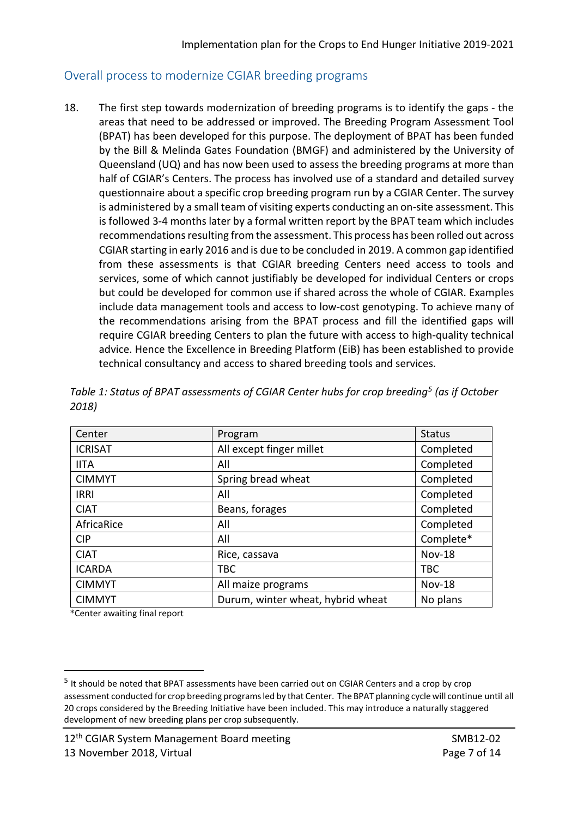#### Overall process to modernize CGIAR breeding programs

18. The first step towards modernization of breeding programs is to identify the gaps - the areas that need to be addressed or improved. The Breeding Program Assessment Tool (BPAT) has been developed for this purpose. The deployment of BPAT has been funded by the Bill & Melinda Gates Foundation (BMGF) and administered by the University of Queensland (UQ) and has now been used to assess the breeding programs at more than half of CGIAR's Centers. The process has involved use of a standard and detailed survey questionnaire about a specific crop breeding program run by a CGIAR Center. The survey is administered by a small team of visiting experts conducting an on-site assessment. This is followed 3-4 months later by a formal written report by the BPAT team which includes recommendations resulting from the assessment. This process has been rolled out across CGIAR starting in early 2016 and is due to be concluded in 2019. A common gap identified from these assessments is that CGIAR breeding Centers need access to tools and services, some of which cannot justifiably be developed for individual Centers or crops but could be developed for common use if shared across the whole of CGIAR. Examples include data management tools and access to low-cost genotyping. To achieve many of the recommendations arising from the BPAT process and fill the identified gaps will require CGIAR breeding Centers to plan the future with access to high-quality technical advice. Hence the Excellence in Breeding Platform (EiB) has been established to provide technical consultancy and access to shared breeding tools and services.

| Center         | Program                           | <b>Status</b> |
|----------------|-----------------------------------|---------------|
| <b>ICRISAT</b> | All except finger millet          | Completed     |
| <b>IITA</b>    | All                               | Completed     |
| <b>CIMMYT</b>  | Spring bread wheat                | Completed     |
| <b>IRRI</b>    | All                               | Completed     |
| <b>CIAT</b>    | Beans, forages                    | Completed     |
| AfricaRice     | All                               | Completed     |
| <b>CIP</b>     | All                               | Complete*     |
| <b>CIAT</b>    | Rice, cassava                     | <b>Nov-18</b> |
| <b>ICARDA</b>  | <b>TBC</b>                        | <b>TBC</b>    |
| <b>CIMMYT</b>  | All maize programs                | <b>Nov-18</b> |
| <b>CIMMYT</b>  | Durum, winter wheat, hybrid wheat | No plans      |

*Table 1: Status of BPAT assessments of CGIAR Center hubs for crop breeding[5](#page-6-0) (as if October 2018)*

\*Center awaiting final report

<span id="page-6-0"></span><sup>5</sup> It should be noted that BPAT assessments have been carried out on CGIAR Centers and a crop by crop assessment conducted for crop breeding programsled by that Center. The BPAT planning cycle will continue until all 20 crops considered by the Breeding Initiative have been included. This may introduce a naturally staggered development of new breeding plans per crop subsequently.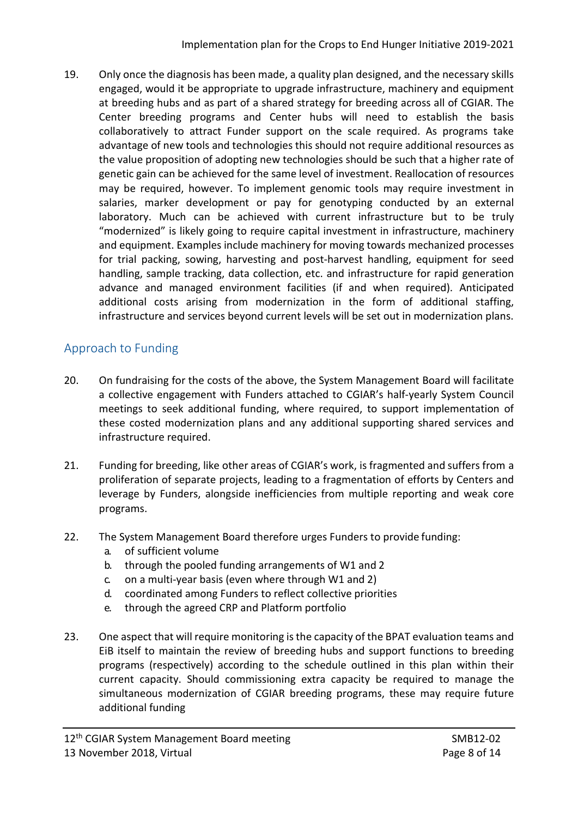19. Only once the diagnosis has been made, a quality plan designed, and the necessary skills engaged, would it be appropriate to upgrade infrastructure, machinery and equipment at breeding hubs and as part of a shared strategy for breeding across all of CGIAR. The Center breeding programs and Center hubs will need to establish the basis collaboratively to attract Funder support on the scale required. As programs take advantage of new tools and technologies this should not require additional resources as the value proposition of adopting new technologies should be such that a higher rate of genetic gain can be achieved for the same level of investment. Reallocation of resources may be required, however. To implement genomic tools may require investment in salaries, marker development or pay for genotyping conducted by an external laboratory. Much can be achieved with current infrastructure but to be truly "modernized" is likely going to require capital investment in infrastructure, machinery and equipment. Examples include machinery for moving towards mechanized processes for trial packing, sowing, harvesting and post-harvest handling, equipment for seed handling, sample tracking, data collection, etc. and infrastructure for rapid generation advance and managed environment facilities (if and when required). Anticipated additional costs arising from modernization in the form of additional staffing, infrastructure and services beyond current levels will be set out in modernization plans.

# Approach to Funding

- 20. On fundraising for the costs of the above, the System Management Board will facilitate a collective engagement with Funders attached to CGIAR's half-yearly System Council meetings to seek additional funding, where required, to support implementation of these costed modernization plans and any additional supporting shared services and infrastructure required.
- 21. Funding for breeding, like other areas of CGIAR's work, is fragmented and suffers from a proliferation of separate projects, leading to a fragmentation of efforts by Centers and leverage by Funders, alongside inefficiencies from multiple reporting and weak core programs.
- 22. The System Management Board therefore urges Funders to provide funding:
	- a. of sufficient volume
	- b. through the pooled funding arrangements of W1 and 2
	- c. on a multi-year basis (even where through W1 and 2)
	- d. coordinated among Funders to reflect collective priorities
	- e. through the agreed CRP and Platform portfolio
- 23. One aspect that will require monitoring is the capacity of the BPAT evaluation teams and EiB itself to maintain the review of breeding hubs and support functions to breeding programs (respectively) according to the schedule outlined in this plan within their current capacity. Should commissioning extra capacity be required to manage the simultaneous modernization of CGIAR breeding programs, these may require future additional funding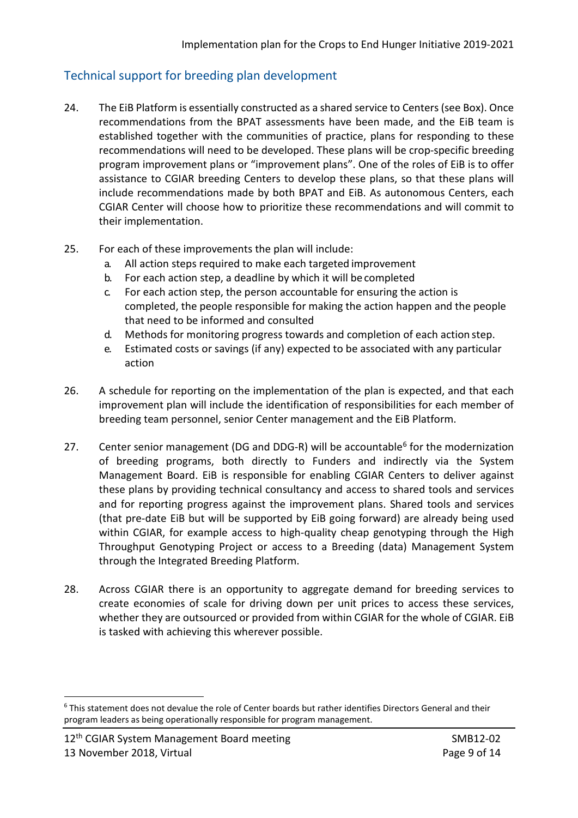### Technical support for breeding plan development

- 24. The EiB Platform is essentially constructed as a shared service to Centers (see Box). Once recommendations from the BPAT assessments have been made, and the EiB team is established together with the communities of practice, plans for responding to these recommendations will need to be developed. These plans will be crop-specific breeding program improvement plans or "improvement plans". One of the roles of EiB is to offer assistance to CGIAR breeding Centers to develop these plans, so that these plans will include recommendations made by both BPAT and EiB. As autonomous Centers, each CGIAR Center will choose how to prioritize these recommendations and will commit to their implementation.
- 25. For each of these improvements the plan will include:
	- a. All action steps required to make each targeted improvement
	- b. For each action step, a deadline by which it will be completed
	- c. For each action step, the person accountable for ensuring the action is completed, the people responsible for making the action happen and the people that need to be informed and consulted
	- d. Methods for monitoring progress towards and completion of each action step.
	- e. Estimated costs or savings (if any) expected to be associated with any particular action
- 26. A schedule for reporting on the implementation of the plan is expected, and that each improvement plan will include the identification of responsibilities for each member of breeding team personnel, senior Center management and the EiB Platform.
- 27. Center senior management (DG and DDG-R) will be accountable<sup>[6](#page-8-0)</sup> for the modernization of breeding programs, both directly to Funders and indirectly via the System Management Board. EiB is responsible for enabling CGIAR Centers to deliver against these plans by providing technical consultancy and access to shared tools and services and for reporting progress against the improvement plans. Shared tools and services (that pre-date EiB but will be supported by EiB going forward) are already being used within CGIAR, for example access to high-quality cheap genotyping through the High Throughput Genotyping Project or access to a Breeding (data) Management System through the Integrated Breeding Platform.
- 28. Across CGIAR there is an opportunity to aggregate demand for breeding services to create economies of scale for driving down per unit prices to access these services, whether they are outsourced or provided from within CGIAR for the whole of CGIAR. EiB is tasked with achieving this wherever possible.

<u>.</u>

<span id="page-8-0"></span><sup>6</sup> This statement does not devalue the role of Center boards but rather identifies Directors General and their program leaders as being operationally responsible for program management.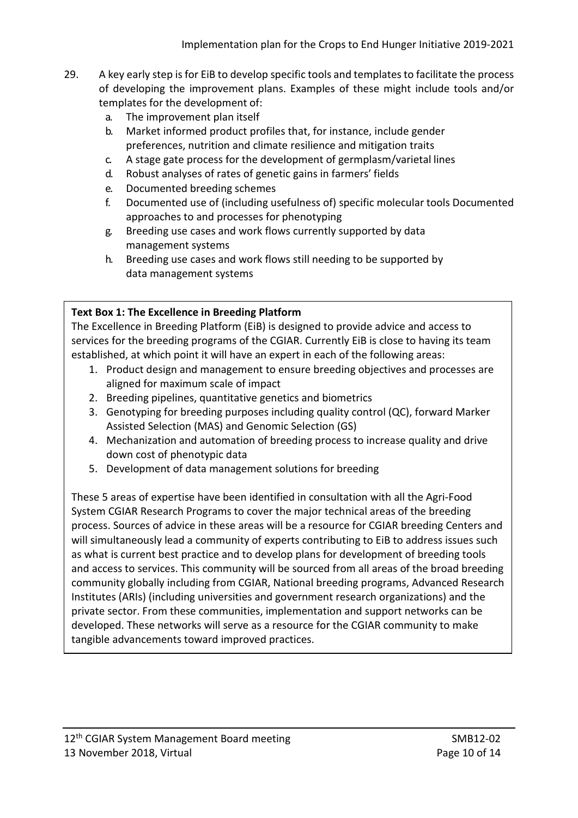- 29. A key early step is for EiB to develop specific tools and templates to facilitate the process of developing the improvement plans. Examples of these might include tools and/or templates for the development of:
	- a. The improvement plan itself
	- b. Market informed product profiles that, for instance, include gender preferences, nutrition and climate resilience and mitigation traits
	- c. A stage gate process for the development of germplasm/varietal lines
	- d. Robust analyses of rates of genetic gains in farmers' fields
	- e. Documented breeding schemes
	- f. Documented use of (including usefulness of) specific molecular tools Documented approaches to and processes for phenotyping
	- g. Breeding use cases and work flows currently supported by data management systems
	- h. Breeding use cases and work flows still needing to be supported by data management systems

#### **Text Box 1: The Excellence in Breeding Platform**

The Excellence in Breeding Platform (EiB) is designed to provide advice and access to services for the breeding programs of the CGIAR. Currently EiB is close to having its team established, at which point it will have an expert in each of the following areas:

- 1. Product design and management to ensure breeding objectives and processes are aligned for maximum scale of impact
- 2. Breeding pipelines, quantitative genetics and biometrics
- 3. Genotyping for breeding purposes including quality control (QC), forward Marker Assisted Selection (MAS) and Genomic Selection (GS)
- 4. Mechanization and automation of breeding process to increase quality and drive down cost of phenotypic data
- 5. Development of data management solutions for breeding

These 5 areas of expertise have been identified in consultation with all the Agri-Food System CGIAR Research Programs to cover the major technical areas of the breeding process. Sources of advice in these areas will be a resource for CGIAR breeding Centers and will simultaneously lead a community of experts contributing to EiB to address issues such as what is current best practice and to develop plans for development of breeding tools and access to services. This community will be sourced from all areas of the broad breeding community globally including from CGIAR, National breeding programs, Advanced Research Institutes (ARIs) (including universities and government research organizations) and the private sector. From these communities, implementation and support networks can be developed. These networks will serve as a resource for the CGIAR community to make tangible advancements toward improved practices.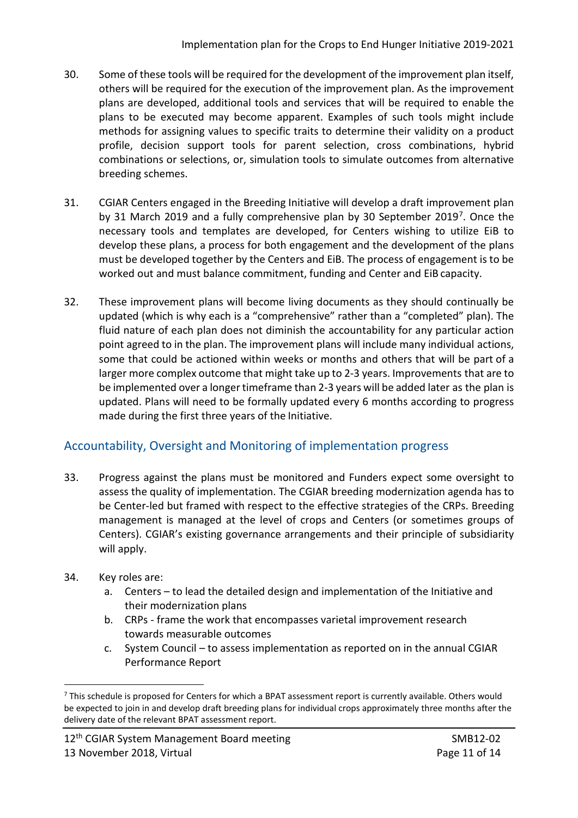- 30. Some of these tools will be required for the development of the improvement plan itself, others will be required for the execution of the improvement plan. As the improvement plans are developed, additional tools and services that will be required to enable the plans to be executed may become apparent. Examples of such tools might include methods for assigning values to specific traits to determine their validity on a product profile, decision support tools for parent selection, cross combinations, hybrid combinations or selections, or, simulation tools to simulate outcomes from alternative breeding schemes.
- 31. CGIAR Centers engaged in the Breeding Initiative will develop a draft improvement plan by 31 March 2019 and a fully comprehensive plan by 30 September 2019<sup>[7](#page-10-0)</sup>. Once the necessary tools and templates are developed, for Centers wishing to utilize EiB to develop these plans, a process for both engagement and the development of the plans must be developed together by the Centers and EiB. The process of engagement is to be worked out and must balance commitment, funding and Center and EiB capacity.
- 32. These improvement plans will become living documents as they should continually be updated (which is why each is a "comprehensive" rather than a "completed" plan). The fluid nature of each plan does not diminish the accountability for any particular action point agreed to in the plan. The improvement plans will include many individual actions, some that could be actioned within weeks or months and others that will be part of a larger more complex outcome that might take up to 2-3 years. Improvements that are to be implemented over a longer timeframe than 2-3 years will be added later as the plan is updated. Plans will need to be formally updated every 6 months according to progress made during the first three years of the Initiative.

# Accountability, Oversight and Monitoring of implementation progress

- 33. Progress against the plans must be monitored and Funders expect some oversight to assess the quality of implementation. The CGIAR breeding modernization agenda has to be Center-led but framed with respect to the effective strategies of the CRPs. Breeding management is managed at the level of crops and Centers (or sometimes groups of Centers). CGIAR's existing governance arrangements and their principle of subsidiarity will apply.
- 34. Key roles are:
	- a. Centers to lead the detailed design and implementation of the Initiative and their modernization plans
	- b. CRPs frame the work that encompasses varietal improvement research towards measurable outcomes
	- c. System Council to assess implementation as reported on in the annual CGIAR Performance Report

<span id="page-10-0"></span><sup>-</sup> $7$  This schedule is proposed for Centers for which a BPAT assessment report is currently available. Others would be expected to join in and develop draft breeding plans for individual crops approximately three months after the delivery date of the relevant BPAT assessment report.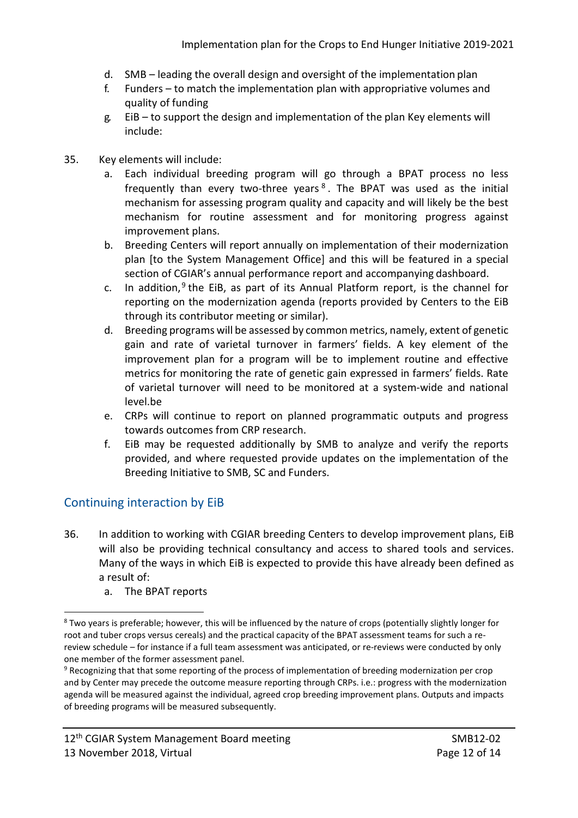- d. SMB leading the overall design and oversight of the implementation plan
- f. Funders to match the implementation plan with appropriative volumes and quality of funding
- g. EiB to support the design and implementation of the plan Key elements will include:
- 35. Key elements will include:
	- a. Each individual breeding program will go through a BPAT process no less frequently than every two-three years<sup>[8](#page-11-0)</sup>. The BPAT was used as the initial mechanism for assessing program quality and capacity and will likely be the best mechanism for routine assessment and for monitoring progress against improvement plans.
	- b. Breeding Centers will report annually on implementation of their modernization plan [to the System Management Office] and this will be featured in a special section of CGIAR's annual performance report and accompanying dashboard.
	- c. In addition,  $9$  the EiB, as part of its Annual Platform report, is the channel for reporting on the modernization agenda (reports provided by Centers to the EiB through its contributor meeting or similar).
	- d. Breeding programs will be assessed by common metrics, namely, extent of genetic gain and rate of varietal turnover in farmers' fields. A key element of the improvement plan for a program will be to implement routine and effective metrics for monitoring the rate of genetic gain expressed in farmers' fields. Rate of varietal turnover will need to be monitored at a system-wide and national level.be
	- e. CRPs will continue to report on planned programmatic outputs and progress towards outcomes from CRP research.
	- f. EiB may be requested additionally by SMB to analyze and verify the reports provided, and where requested provide updates on the implementation of the Breeding Initiative to SMB, SC and Funders.

#### Continuing interaction by EiB

- 36. In addition to working with CGIAR breeding Centers to develop improvement plans, EiB will also be providing technical consultancy and access to shared tools and services. Many of the ways in which EiB is expected to provide this have already been defined as a result of:
	- a. The BPAT reports

<span id="page-11-0"></span><sup>&</sup>lt;sup>8</sup> Two years is preferable; however, this will be influenced by the nature of crops (potentially slightly longer for root and tuber crops versus cereals) and the practical capacity of the BPAT assessment teams for such a rereview schedule – for instance if a full team assessment was anticipated, or re-reviews were conducted by only one member of the former assessment panel.

<span id="page-11-1"></span><sup>9</sup> Recognizing that that some reporting of the process of implementation of breeding modernization per crop and by Center may precede the outcome measure reporting through CRPs. i.e.: progress with the modernization agenda will be measured against the individual, agreed crop breeding improvement plans. Outputs and impacts of breeding programs will be measured subsequently.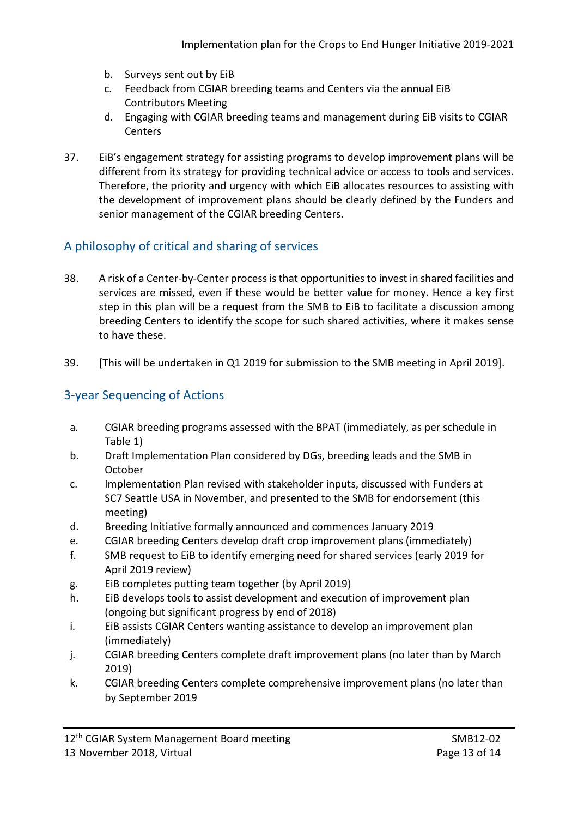- b. Surveys sent out by EiB
- c. Feedback from CGIAR breeding teams and Centers via the annual EiB Contributors Meeting
- d. Engaging with CGIAR breeding teams and management during EiB visits to CGIAR **Centers**
- 37. EiB's engagement strategy for assisting programs to develop improvement plans will be different from its strategy for providing technical advice or access to tools and services. Therefore, the priority and urgency with which EiB allocates resources to assisting with the development of improvement plans should be clearly defined by the Funders and senior management of the CGIAR breeding Centers.

#### A philosophy of critical and sharing of services

- 38. A risk of a Center-by-Center process is that opportunities to invest in shared facilities and services are missed, even if these would be better value for money. Hence a key first step in this plan will be a request from the SMB to EiB to facilitate a discussion among breeding Centers to identify the scope for such shared activities, where it makes sense to have these.
- 39. [This will be undertaken in Q1 2019 for submission to the SMB meeting in April 2019].

### 3-year Sequencing of Actions

- a. CGIAR breeding programs assessed with the BPAT (immediately, as per schedule in Table 1)
- b. Draft Implementation Plan considered by DGs, breeding leads and the SMB in October
- c. Implementation Plan revised with stakeholder inputs, discussed with Funders at SC7 Seattle USA in November, and presented to the SMB for endorsement (this meeting)
- d. Breeding Initiative formally announced and commences January 2019
- e. CGIAR breeding Centers develop draft crop improvement plans (immediately)
- f. SMB request to EiB to identify emerging need for shared services (early 2019 for April 2019 review)
- g. EiB completes putting team together (by April 2019)
- h. EiB develops tools to assist development and execution of improvement plan (ongoing but significant progress by end of 2018)
- i. EiB assists CGIAR Centers wanting assistance to develop an improvement plan (immediately)
- j. CGIAR breeding Centers complete draft improvement plans (no later than by March 2019)
- k. CGIAR breeding Centers complete comprehensive improvement plans (no later than by September 2019